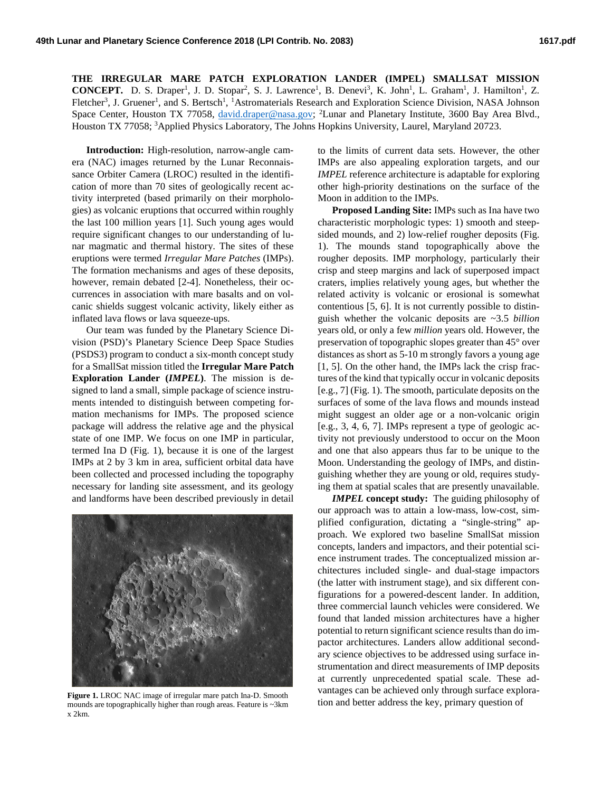**THE IRREGULAR MARE PATCH EXPLORATION LANDER (IMPEL) SMALLSAT MISSION CONCEPT.** D. S. Draper<sup>1</sup>, J. D. Stopar<sup>2</sup>, S. J. Lawrence<sup>1</sup>, B. Denevi<sup>3</sup>, K. John<sup>1</sup>, L. Graham<sup>1</sup>, J. Hamilton<sup>1</sup>, Z. Fletcher<sup>3</sup>, J. Gruener<sup>1</sup>, and S. Bertsch<sup>1</sup>, <sup>1</sup>Astromaterials Research and Exploration Science Division, NASA Johnson Space Center, Houston TX 77058, [david.draper@nasa.gov;](mailto:david.draper@nasa.gov) <sup>2</sup>Lunar and Planetary Institute, 3600 Bay Area Blvd., Houston TX 77058; <sup>3</sup> Applied Physics Laboratory, The Johns Hopkins University, Laurel, Maryland 20723.

**Introduction:** High-resolution, narrow-angle camera (NAC) images returned by the Lunar Reconnaissance Orbiter Camera (LROC) resulted in the identification of more than 70 sites of geologically recent activity interpreted (based primarily on their morphologies) as volcanic eruptions that occurred within roughly the last 100 million years [1]. Such young ages would require significant changes to our understanding of lunar magmatic and thermal history. The sites of these eruptions were termed *Irregular Mare Patches* (IMPs). The formation mechanisms and ages of these deposits, however, remain debated [2-4]. Nonetheless, their occurrences in association with mare basalts and on volcanic shields suggest volcanic activity, likely either as inflated lava flows or lava squeeze-ups.

Our team was funded by the Planetary Science Division (PSD)'s Planetary Science Deep Space Studies (PSDS3) program to conduct a six-month concept study for a SmallSat mission titled the **Irregular Mare Patch Exploration Lander (***IMPEL***)**. The mission is designed to land a small, simple package of science instruments intended to distinguish between competing formation mechanisms for IMPs. The proposed science package will address the relative age and the physical state of one IMP. We focus on one IMP in particular, termed Ina D (Fig. 1), because it is one of the largest IMPs at 2 by 3 km in area, sufficient orbital data have been collected and processed including the topography necessary for landing site assessment, and its geology and landforms have been described previously in detail



mounds are topographically higher than rough areas. Feature is ~3km x 2km.

to the limits of current data sets. However, the other IMPs are also appealing exploration targets, and our *IMPEL* reference architecture is adaptable for exploring other high-priority destinations on the surface of the Moon in addition to the IMPs.

**Proposed Landing Site:** IMPs such as Ina have two characteristic morphologic types: 1) smooth and steepsided mounds, and 2) low-relief rougher deposits (Fig. 1). The mounds stand topographically above the rougher deposits. IMP morphology, particularly their crisp and steep margins and lack of superposed impact craters, implies relatively young ages, but whether the related activity is volcanic or erosional is somewhat contentious [5, 6]. It is not currently possible to distinguish whether the volcanic deposits are ~3.5 *billion* years old, or only a few *million* years old. However, the preservation of topographic slopes greater than 45° over distances as short as 5-10 m strongly favors a young age [1, 5]. On the other hand, the IMPs lack the crisp fractures of the kind that typically occur in volcanic deposits [e.g., 7] (Fig. 1). The smooth, particulate deposits on the surfaces of some of the lava flows and mounds instead might suggest an older age or a non-volcanic origin [e.g., 3, 4, 6, 7]. IMPs represent a type of geologic activity not previously understood to occur on the Moon and one that also appears thus far to be unique to the Moon. Understanding the geology of IMPs, and distinguishing whether they are young or old, requires studying them at spatial scales that are presently unavailable.

*IMPEL* **concept study:** The guiding philosophy of our approach was to attain a low-mass, low-cost, simplified configuration, dictating a "single-string" approach. We explored two baseline SmallSat mission concepts, landers and impactors, and their potential science instrument trades. The conceptualized mission architectures included single- and dual-stage impactors (the latter with instrument stage), and six different configurations for a powered-descent lander. In addition, three commercial launch vehicles were considered. We found that landed mission architectures have a higher potential to return significant science results than do impactor architectures. Landers allow additional secondary science objectives to be addressed using surface instrumentation and direct measurements of IMP deposits at currently unprecedented spatial scale. These advantages can be achieved only through surface explora-Figure 1. LROC NAC image of irregular mare patch Ina-D. Smooth<br>mounds are topographically higher than rough areas. Feature is  $\sim 3 \text{km}$  tion and better address the key, primary question of